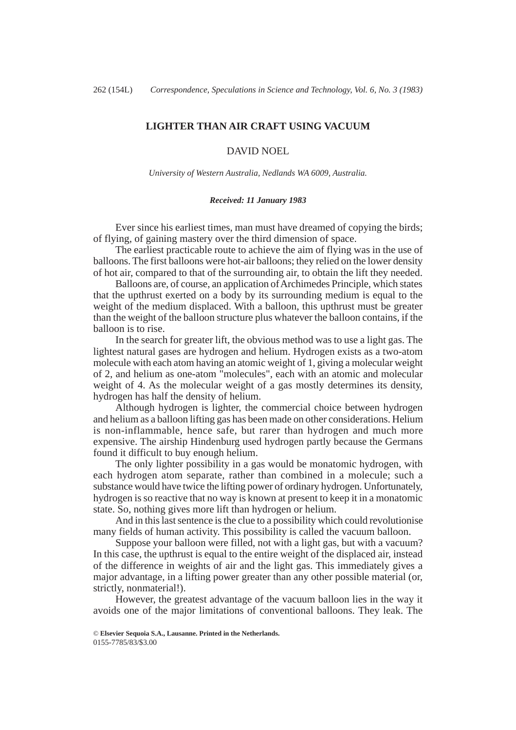### **LIGHTER THAN AIR CRAFT USING VACUUM**

### DAVID NOEL

*University of Western Australia, Nedlands WA 6009, Australia.*

#### *Received: 11 January 1983*

Ever since his earliest times, man must have dreamed of copying the birds; of flying, of gaining mastery over the third dimension of space.

The earliest practicable route to achieve the aim of flying was in the use of balloons. The first balloons were hot-air balloons; they relied on the lower density of hot air, compared to that of the surrounding air, to obtain the lift they needed.

Balloons are, of course, an application of Archimedes Principle, which states that the upthrust exerted on a body by its surrounding medium is equal to the weight of the medium displaced. With a balloon, this upthrust must be greater than the weight of the balloon structure plus whatever the balloon contains, if the balloon is to rise.

In the search for greater lift, the obvious method was to use a light gas. The lightest natural gases are hydrogen and helium. Hydrogen exists as a two-atom molecule with each atom having an atomic weight of 1, giving a molecular weight of 2, and helium as one-atom "molecules", each with an atomic and molecular weight of 4. As the molecular weight of a gas mostly determines its density, hydrogen has half the density of helium.

Although hydrogen is lighter, the commercial choice between hydrogen and helium as a balloon lifting gas has been made on other considerations. Helium is non-inflammable, hence safe, but rarer than hydrogen and much more expensive. The airship Hindenburg used hydrogen partly because the Germans found it difficult to buy enough helium.

The only lighter possibility in a gas would be monatomic hydrogen, with each hydrogen atom separate, rather than combined in a molecule; such a substance would have twice the lifting power of ordinary hydrogen. Unfortunately, hydrogen is so reactive that no way is known at present to keep it in a monatomic state. So, nothing gives more lift than hydrogen or helium.

And in this last sentence is the clue to a possibility which could revolutionise many fields of human activity. This possibility is called the vacuum balloon.

Suppose your balloon were filled, not with a light gas, but with a vacuum? In this case, the upthrust is equal to the entire weight of the displaced air, instead of the difference in weights of air and the light gas. This immediately gives a major advantage, in a lifting power greater than any other possible material (or, strictly, nonmaterial!).

However, the greatest advantage of the vacuum balloon lies in the way it avoids one of the major limitations of conventional balloons. They leak. The

© **Elsevier Sequoia S.A., Lausanne. Printed in the Netherlands.** 0155-7785/83/\$3.00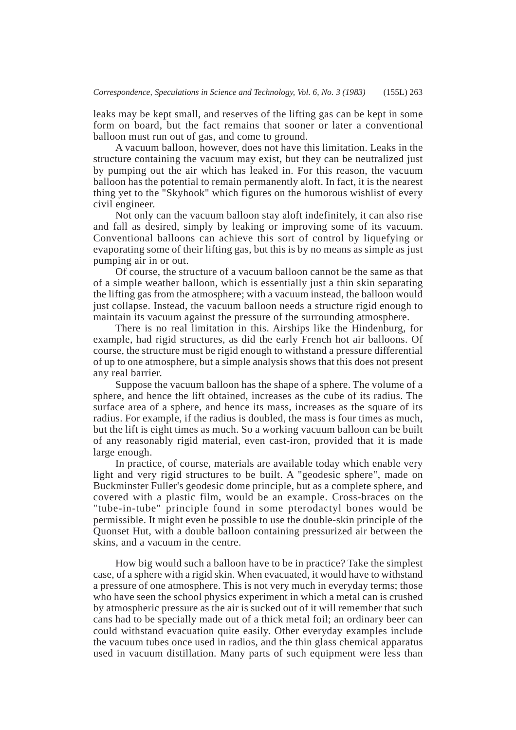leaks may be kept small, and reserves of the lifting gas can be kept in some form on board, but the fact remains that sooner or later a conventional balloon must run out of gas, and come to ground.

A vacuum balloon, however, does not have this limitation. Leaks in the structure containing the vacuum may exist, but they can be neutralized just by pumping out the air which has leaked in. For this reason, the vacuum balloon has the potential to remain permanently aloft. In fact, it is the nearest thing yet to the "Skyhook" which figures on the humorous wishlist of every civil engineer.

Not only can the vacuum balloon stay aloft indefinitely, it can also rise and fall as desired, simply by leaking or improving some of its vacuum. Conventional balloons can achieve this sort of control by liquefying or evaporating some of their lifting gas, but this is by no means as simple as just pumping air in or out.

Of course, the structure of a vacuum balloon cannot be the same as that of a simple weather balloon, which is essentially just a thin skin separating the lifting gas from the atmosphere; with a vacuum instead, the balloon would just collapse. Instead, the vacuum balloon needs a structure rigid enough to maintain its vacuum against the pressure of the surrounding atmosphere.

There is no real limitation in this. Airships like the Hindenburg, for example, had rigid structures, as did the early French hot air balloons. Of course, the structure must be rigid enough to withstand a pressure differential of up to one atmosphere, but a simple analysis shows that this does not present any real barrier.

Suppose the vacuum balloon has the shape of a sphere. The volume of a sphere, and hence the lift obtained, increases as the cube of its radius. The surface area of a sphere, and hence its mass, increases as the square of its radius. For example, if the radius is doubled, the mass is four times as much, but the lift is eight times as much. So a working vacuum balloon can be built of any reasonably rigid material, even cast-iron, provided that it is made large enough.

In practice, of course, materials are available today which enable very light and very rigid structures to be built. A "geodesic sphere", made on Buckminster Fuller's geodesic dome principle, but as a complete sphere, and covered with a plastic film, would be an example. Cross-braces on the "tube-in-tube" principle found in some pterodactyl bones would be permissible. It might even be possible to use the double-skin principle of the Quonset Hut, with a double balloon containing pressurized air between the skins, and a vacuum in the centre.

How big would such a balloon have to be in practice? Take the simplest case, of a sphere with a rigid skin. When evacuated, it would have to withstand a pressure of one atmosphere. This is not very much in everyday terms; those who have seen the school physics experiment in which a metal can is crushed by atmospheric pressure as the air is sucked out of it will remember that such cans had to be specially made out of a thick metal foil; an ordinary beer can could withstand evacuation quite easily. Other everyday examples include the vacuum tubes once used in radios, and the thin glass chemical apparatus used in vacuum distillation. Many parts of such equipment were less than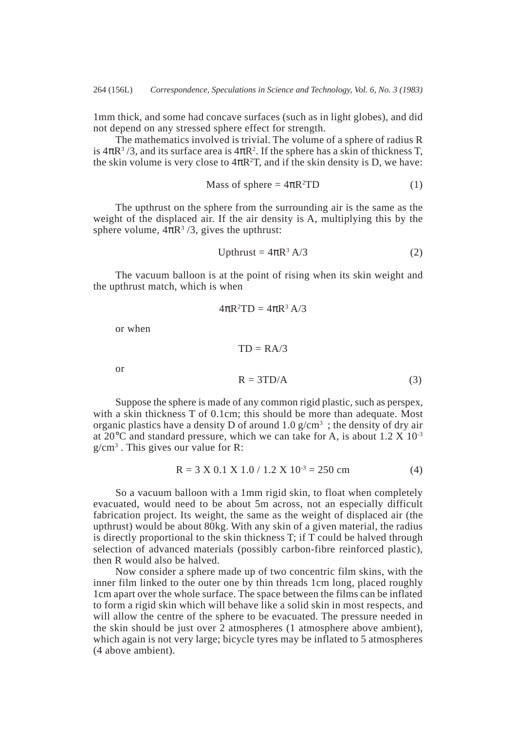1mm thick, and some had concave surfaces (such as in light globes), and did not depend on any stressed sphere effect for strength.

The mathematics involved is trivial. The volume of a sphere of radius R is  $4\pi R^3/3$ , and its surface area is  $4\pi R^2$ . If the sphere has a skin of thickness T, the skin volume is very close to  $4\pi R^2T$ , and if the skin density is D, we have:

$$
Mass of sphere = 4\pi R^2 TD \tag{1}
$$

The upthrust on the sphere from the surrounding air is the same as the weight of the displaced air. If the air density is A, multiplying this by the sphere volume,  $4\pi R^3/3$ , gives the upthrust:

$$
Upthrust = 4\pi R^3 A/3
$$
 (2)

The vacuum balloon is at the point of rising when its skin weight and the upthrust match, which is when

 $4\pi R^2 TD = 4\pi R^3 A/3$ 

 $TD = R A/3$ 

or when

or

$$
R = 3TD/A \tag{3}
$$

Suppose the sphere is made of any common rigid plastic, such as perspex, with a skin thickness T of 0.1cm; this should be more than adequate. Most organic plastics have a density D of around 1.0  $g/cm^3$ ; the density of dry air at  $20^{\circ}$ C and standard pressure, which we can take for A, is about 1.2 X 10<sup>-3</sup> g/cm3 . This gives our value for R:

$$
R = 3 X 0.1 X 1.0 / 1.2 X 10^{-3} = 250 cm
$$
 (4)

So a vacuum balloon with a 1mm rigid skin, to float when completely evacuated, would need to be about 5m across, not an especially difficult fabrication project. Its weight, the same as the weight of displaced air (the upthrust) would be about 80kg. With any skin of a given material, the radius is directly proportional to the skin thickness T; if T could be halved through selection of advanced materials (possibly carbon-fibre reinforced plastic), then R would also be halved.

Now consider a sphere made up of two concentric film skins, with the inner film linked to the outer one by thin threads 1cm long, placed roughly 1cm apart over the whole surface. The space between the films can be inflated to form a rigid skin which will behave like a solid skin in most respects, and will allow the centre of the sphere to be evacuated. The pressure needed in the skin should be just over 2 atmospheres (1 atmosphere above ambient), which again is not very large; bicycle tyres may be inflated to 5 atmospheres (4 above ambient).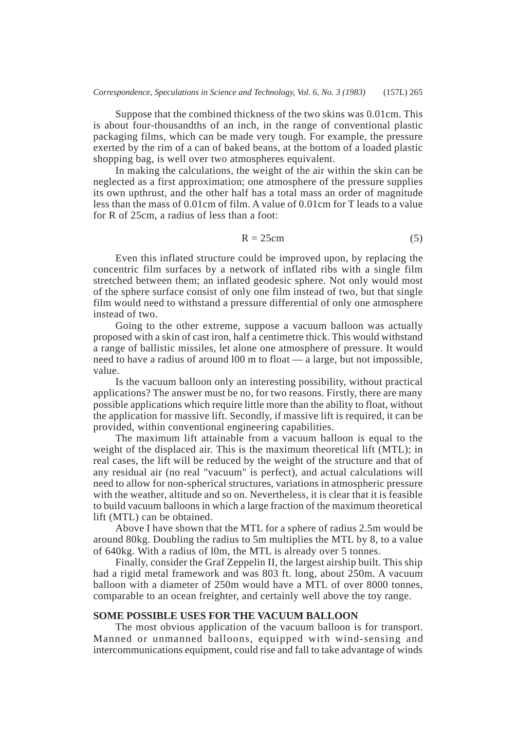Suppose that the combined thickness of the two skins was 0.01cm. This is about four-thousandths of an inch, in the range of conventional plastic packaging films, which can be made very tough. For example, the pressure exerted by the rim of a can of baked beans, at the bottom of a loaded plastic shopping bag, is well over two atmospheres equivalent.

In making the calculations, the weight of the air within the skin can be neglected as a first approximation; one atmosphere of the pressure supplies its own upthrust, and the other half has a total mass an order of magnitude less than the mass of 0.01cm of film. A value of 0.01cm for T leads to a value for R of 25cm, a radius of less than a foot:

$$
R = 25cm \tag{5}
$$

Even this inflated structure could be improved upon, by replacing the concentric film surfaces by a network of inflated ribs with a single film stretched between them; an inflated geodesic sphere. Not only would most of the sphere surface consist of only one film instead of two, but that single film would need to withstand a pressure differential of only one atmosphere instead of two.

Going to the other extreme, suppose a vacuum balloon was actually proposed with a skin of cast iron, half a centimetre thick. This would withstand a range of ballistic missiles, let alone one atmosphere of pressure. It would need to have a radius of around l00 m to float — a large, but not impossible, value.

Is the vacuum balloon only an interesting possibility, without practical applications? The answer must be no, for two reasons. Firstly, there are many possible applications which require little more than the ability to float, without the application for massive lift. Secondly, if massive lift is required, it can be provided, within conventional engineering capabilities.

The maximum lift attainable from a vacuum balloon is equal to the weight of the displaced air. This is the maximum theoretical lift (MTL); in real cases, the lift will be reduced by the weight of the structure and that of any residual air (no real "vacuum" is perfect), and actual calculations will need to allow for non-spherical structures, variations in atmospheric pressure with the weather, altitude and so on. Nevertheless, it is clear that it is feasible to build vacuum balloons in which a large fraction of the maximum theoretical lift (MTL) can be obtained.

Above I have shown that the MTL for a sphere of radius 2.5m would be around 80kg. Doubling the radius to 5m multiplies the MTL by 8, to a value of 640kg. With a radius of l0m, the MTL is already over 5 tonnes.

Finally, consider the Graf Zeppelin II, the largest airship built. This ship had a rigid metal framework and was 803 ft. long, about 250m. A vacuum balloon with a diameter of 250m would have a MTL of over 8000 tonnes, comparable to an ocean freighter, and certainly well above the toy range.

## **SOME POSSIBLE USES FOR THE VACUUM BALLOON**

The most obvious application of the vacuum balloon is for transport. Manned or unmanned balloons, equipped with wind-sensing and intercommunications equipment, could rise and fall to take advantage of winds